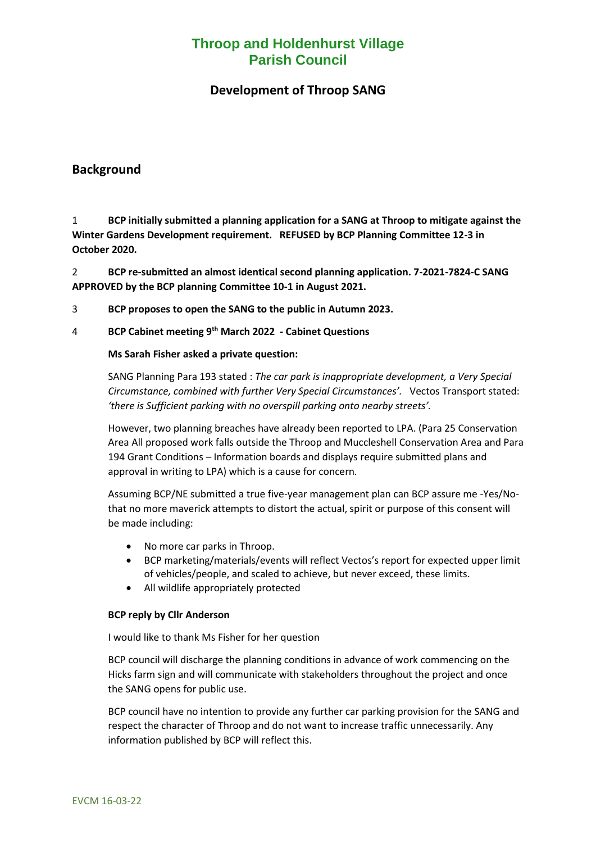# **Throop and Holdenhurst Village Parish Council**

## **Development of Throop SANG**

### **Background**

1 **BCP initially submitted a planning application for a SANG at Throop to mitigate against the Winter Gardens Development requirement. REFUSED by BCP Planning Committee 12-3 in October 2020.** 

2 **BCP re-submitted an almost identical second planning application. 7-2021-7824-C SANG APPROVED by the BCP planning Committee 10-1 in August 2021.** 

- 3 **BCP proposes to open the SANG to the public in Autumn 2023.**
- 4 **BCP Cabinet meeting 9th March 2022 - Cabinet Questions**

#### **Ms Sarah Fisher asked a private question:**

SANG Planning Para 193 stated : *The car park is inappropriate development, a Very Special Circumstance, combined with further Very Special Circumstances'.* Vectos Transport stated: *'there is Sufficient parking with no overspill parking onto nearby streets'.* 

However, two planning breaches have already been reported to LPA. (Para 25 Conservation Area All proposed work falls outside the Throop and Muccleshell Conservation Area and Para 194 Grant Conditions – Information boards and displays require submitted plans and approval in writing to LPA) which is a cause for concern*.* 

Assuming BCP/NE submitted a true five-year management plan can BCP assure me -Yes/Nothat no more maverick attempts to distort the actual, spirit or purpose of this consent will be made including:

- No more car parks in Throop.
- BCP marketing/materials/events will reflect Vectos's report for expected upper limit of vehicles/people, and scaled to achieve, but never exceed, these limits.
- All wildlife appropriately protected

#### **BCP reply by Cllr Anderson**

I would like to thank Ms Fisher for her question

BCP council will discharge the planning conditions in advance of work commencing on the Hicks farm sign and will communicate with stakeholders throughout the project and once the SANG opens for public use.

BCP council have no intention to provide any further car parking provision for the SANG and respect the character of Throop and do not want to increase traffic unnecessarily. Any information published by BCP will reflect this.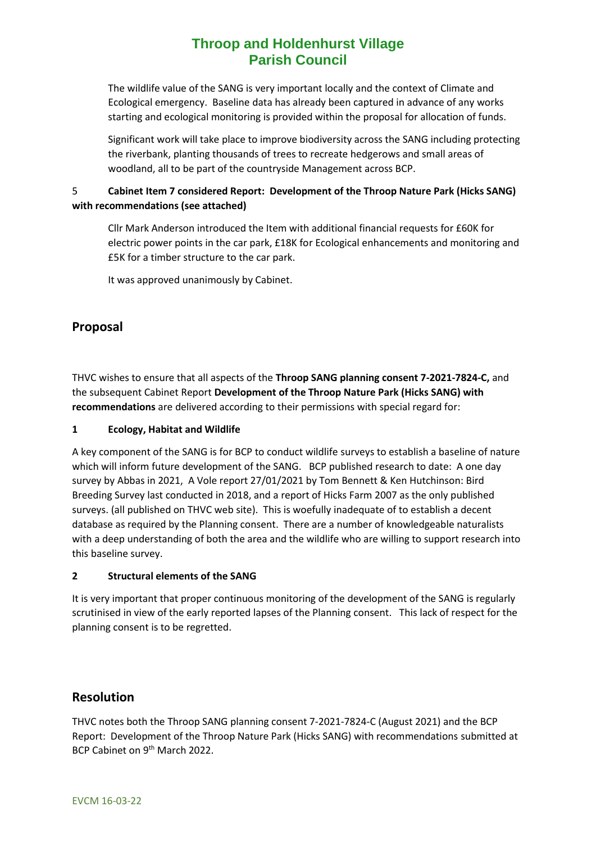# **Throop and Holdenhurst Village Parish Council**

The wildlife value of the SANG is very important locally and the context of Climate and Ecological emergency. Baseline data has already been captured in advance of any works starting and ecological monitoring is provided within the proposal for allocation of funds.

Significant work will take place to improve biodiversity across the SANG including protecting the riverbank, planting thousands of trees to recreate hedgerows and small areas of woodland, all to be part of the countryside Management across BCP.

#### 5 **Cabinet Item 7 considered Report: Development of the Throop Nature Park (Hicks SANG) with recommendations (see attached)**

Cllr Mark Anderson introduced the Item with additional financial requests for £60K for electric power points in the car park, £18K for Ecological enhancements and monitoring and £5K for a timber structure to the car park.

It was approved unanimously by Cabinet.

## **Proposal**

THVC wishes to ensure that all aspects of the **Throop SANG planning consent 7-2021-7824-C,** and the subsequent Cabinet Report **Development of the Throop Nature Park (Hicks SANG) with recommendations** are delivered according to their permissions with special regard for:

#### **1 Ecology, Habitat and Wildlife**

A key component of the SANG is for BCP to conduct wildlife surveys to establish a baseline of nature which will inform future development of the SANG. BCP published research to date: A one day survey by Abbas in 2021, A Vole report 27/01/2021 by Tom Bennett & Ken Hutchinson: Bird Breeding Survey last conducted in 2018, and a report of Hicks Farm 2007 as the only published surveys. (all published on THVC web site). This is woefully inadequate of to establish a decent database as required by the Planning consent. There are a number of knowledgeable naturalists with a deep understanding of both the area and the wildlife who are willing to support research into this baseline survey.

#### **2 Structural elements of the SANG**

It is very important that proper continuous monitoring of the development of the SANG is regularly scrutinised in view of the early reported lapses of the Planning consent. This lack of respect for the planning consent is to be regretted.

### **Resolution**

THVC notes both the Throop SANG planning consent 7-2021-7824-C (August 2021) and the BCP Report: Development of the Throop Nature Park (Hicks SANG) with recommendations submitted at BCP Cabinet on 9th March 2022.